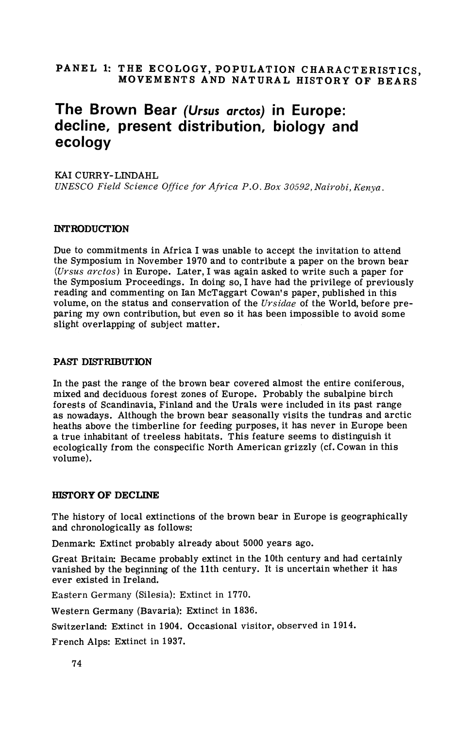# PANEL 1: THE ECOLOGY, POPULATION CHARACTERISTICS. **MOVEMENTS AND NATURAL HISTORY OF BEARS**

# **The Brown Bear (Ursus arctos) in Europe: decline, present distribution, biology and ecology**

#### KAI CURRY-LINDAHL

*UNESCO Field Science Office for Africn P.O. Box 30592,Nairobi, Kenya.* 

#### **INTRODUCTION**

Due to commitments in Africa I was unable to accept the invitation to attend the Symposium in November 1970 and to contribute a paper on the brown bear *(Ursus arctos)* in Europe. Later, I was again asked to write such a paper for the Symposium Proceedings. In doing so, I have had the privilege of previously reading and commenting on Ian McTaggart Cowan's paper, published in this volume, on the status and conservation of the *Ursidae* of the World, before preparing my own contribution, but even so it has been impossible to avoid some slight overlapping of subject matter.

#### **PAST DISTRIBUTION**

In the past the range of the brown bear covered almost the entire coniferous, mixed and deciduous forest zones of Europe. Probably the subalpine birch forests of Scandinavia, Finland and the Urals were included in its past range as nowadays. Although the brown bear seasonally visits the tundras and arctic heaths above the timberline for feeding purposes, it has never in Europe been a true inhabitant of treeless habitats. This feature seems to distinguish it ecologically from the conspecific North American grizzly (cf. Cowan in this volume).

#### **HTSTORY OF DECLINE**

The history of local extinctions of the brown bear in Europe is geographically and chronologically as follows:

Denmark: Extinct probably already about 5000 years ago.

Great Britain: Became probably extinct in the 10th century and had certainly vanished by the beginning of the 11th century. It is uncertain whether it has ever existed in Ireland.

Eastern Germany (Silesia): Extinct in 1770.

Western Germany (Bavaria): Extinct in 1836.

Switzerland: Extinct in 1904. Occasional visitor, observed in 1914.

French Alps: Extinct in 1937.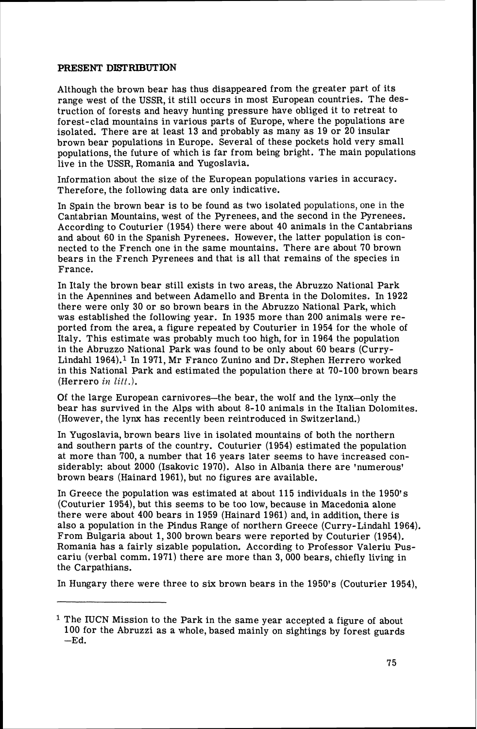### **PRESENT DISTRIBUTION**

Although the brown bear has thus disappeared from the greater part of its range west of the USSR, it still occurs in most European countries. The destruction of forests and heavy hunting pressure have obliged it to retreat to forest-clad mountains in various parts of Europe, where the populations are isolated. There are at least 13 and probably as many as 19 or 20 insular brown bear populations in Europe. Several of these pockets hold very small populations, the future of which is far from being bright. The main populations live in the USSR, Romania and Yugoslavia.

Information about the size of the European populations varies in accuracy. Therefore, the following data are only indicative.

In Spain the brown bear is to be found as two isolated populations, one in the Cantabrian Mountains, west of the Pyrenees, and the second in the Pyrenees. According to Couturier (1954) there were about 40 animals in the Cantabrians and about 60 in the Spanish Pyrenees. However, the latter population is connected to the French one in the same mountains. There are about 70 brown bears in the French Pyrenees and that is all that remains of the species in France.

In Italy the brown bear still exists in two areas, the Abruzzo National Park in the Apennines and between Adamello and Brenta in the Dolomites. In 1922 there were only 30 or so brown bears in the Abruzzo National Park, which was established the following year. In 1935 more than 200 animals were reported from the area, a figure repeated by Couturier in 1954 for the whole of Italy. This estimate was probably much too high, for in 1964 the population in the Abruzzo National Park was found to be only about 60 bears (Curry-Lindahl 1964).<sup>1</sup> In 1971, Mr Franco Zunino and Dr. Stephen Herrero worked in this National Park and estimated the population there at 70-100 brown bears (Herrero **iz** lift.).

Of the large European carnivores-the bear, the wolf and the lynx--only the bear has survived in the Alps with about 8-10 animals in the Italian Dolomites. (However, the lynx has recently been reintroduced in Switzerland.)

In Yugoslavia, brown bears live in isolated mountains of both the northern and southern parts of the country. Couturier (1954) estimated the population at more than 700, a number that 16 years later seems to have increased considerably: about 2000 (Isakovic 1970). Also in Albania there are 'numerous' brown bears (Hainard 1961), but no figures are available.

In Greece the population was estimated at about 115 individuals in the 1950's (Couturier 1954), but this seems to be too low, because in Macedonia alone there were about 400 bears in 1959 (Hainard 1961) and, in addition, there is also a population in the Pindus Range of northern Greece (Curry-Lindahl 1964). From Bulgaria about 1,300 brown bears were reported by Couturier (1954). Romania has a fairly sizable population. According to Professor Valeriu Puscariu (verbal comm. 1971) there are more than 3,000 bears, chiefly living in the Carpathians.

In Hungary there were three to six brown bears in the 1950's (Couturier 1954),

**<sup>1</sup>** The IUCN Mission to the Park in the same year accepted a figure of about 100 for the Abruzzi as a whole, based mainly on sightings by forest guards  $-Ed$ .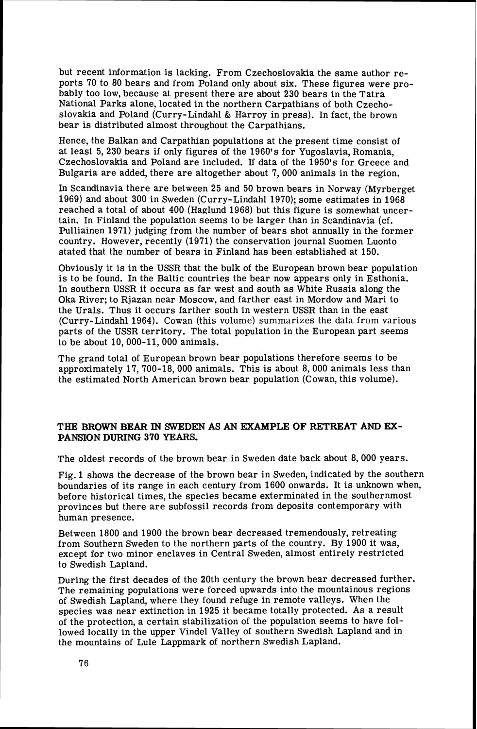but recent information is lacking. From Czechoslovakia the same author reports 70 to 80 bears and from Poland only about six. These figures were probably too low, because at present there are about 230 bears in the Tatra National Parks alone, located in the northern Carpathians of both Czechoslovakia and Poland (Curry-Lindahl & Harroy in press). In fact, the brown bear is distributed almost throughout the Carpathians.

Hence, the Balkan and Carpathian populations at the present time consist of at least 5,230 bears if only figures of the 1960's for Yugoslavia, Romania, Czechoslovakia and Poland are included. If data of the 1950's for Greece and Bulgaria are added, there are altogether about 7,000 animals in the region.

In Scandinavia there are between 25 and 50 brown bears in Norway (Myrberget 1969) and about 300 in Sweden (Curry-Lindahl 1970); some estimates in 1968 reached a total of about 400 (Haglund 1968) but this figure is somewhat uncertain. In Finland the population seems to be larger than in Scandinavia (cf. Pulliainen 1971) judging from the number of bears shot annually in the former country. However, recently (1971) the conservation journal Suomen Luonto stated that the number of bears in Finland has been established at 150.

Obviously it is in the USSR that the bulk of the European brown bear population is to be found. In the Baltic countries the bear now appears only in Esthonia. In southern USSR it occurs as far west and south as White Russia along the Oka River; to Rjazan near Moscow, and farther east in Mordow and Mari to the Urals. Thus it occurs farther south in western USSR than in the east (Curry-Lindahl 1964). Cowan (this volume) summarizes the data from various parts of the USSR territory. The total population in the European part seems to be about 10, 000-11, 000 animals.

The grand total of European brown bear populations therefore seems to be approximately 17, 700-18,000 animals. This is about 8,000 animals less than the estimated North American brown bear population (Cowan, this volume).

### **THE BROWN BEAR IN SWEDEN AS AN EXAMPLE OF RETREAT AND EX-PANSION DURING** 370 **YEARS.**

The oldest records of the brown bear in Sweden date back about 8,000 years.

Fig. 1 shows the decrease of the brown bear in Sweden, indicated by the southern boundaries of its range in each century from 1600 onwards. It is unknown when, before historical times, the species became exterminated in the southernmost provinces but there are subfossil records from deposits contemporary with human presence.

Between 1800 and 1900 the brown bear decreased tremendously, retreating from Southern Sweden to the northern parts of the country. By 1900 it was, except for two minor enclaves in Central Sweden, almost entirely restricted to Swedish Lapland.

During the first decades of the 20th century the brown bear decreased further. The remaining populations were forced upwards into the mountainous regions of Swedish Lapland, where they found refuge in remote valleys. When the species was near extinction in 1925 it became totally protected. As a result of the protection, a certain stabilization of the population seems to have followed locally in the upper Vindel Valley of southern Swedish Lapland and in the mountains of Lule Lappmark of northern Swedish Lapland.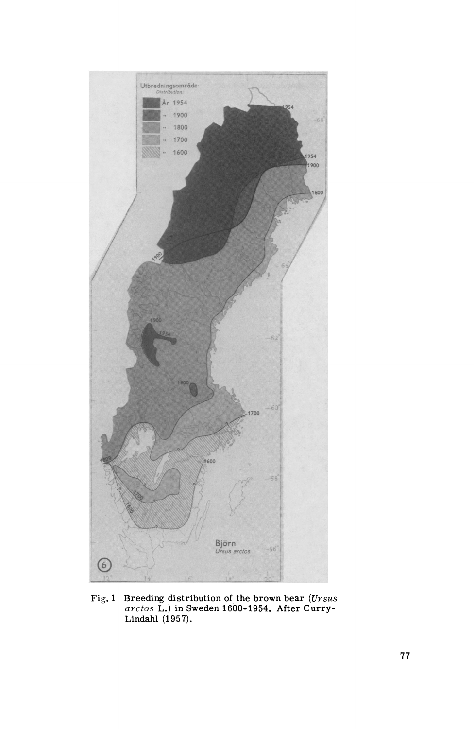

**Fig. 1 Breeding distribution of the brown bear (Ursus**  *arctos* **L.) in Sweden 1600-1954. After Curry-**Lindahl (1957).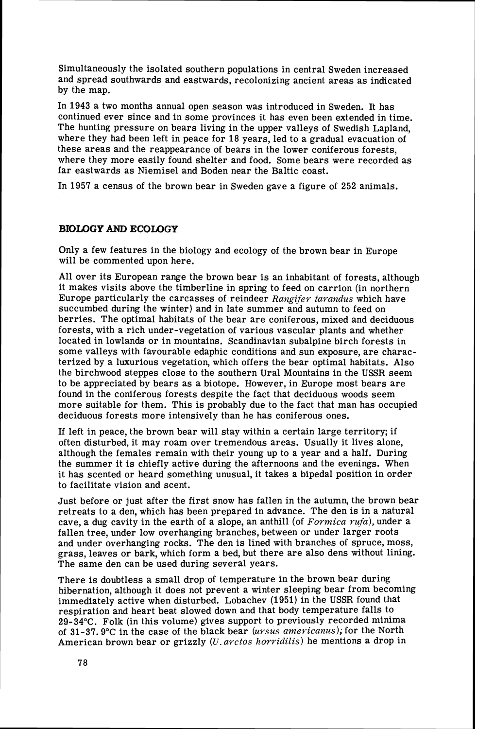Simultaneously the isolated southern populations in central Sweden increased and spread southwards and eastwards, recolonizing ancient areas as indicated by the map.

In 1943 a two months annual open season was introduced in Sweden. It has continued ever since and in some provinces it has even been extended in time. The hunting pressure on bears living in the upper valleys of Swedish Lapland, where they had been left in peace for 18 years, led to a gradual evacuation of these areas and the reappearance of bears in the lower coniferous forests, where they more easily found shelter and food. Some bears were recorded as far eastwards as Niemisel and Boden near the Baltic coast.

In 1957 a census of the brown bear in Sweden gave a figure of 252 animals.

## **BIOLOGY AND ECOLOGY**

Only a few features in the biology and ecology of the brown bear in Europe will be commented upon here.

All over its European range the brown bear is an inhabitant of forests, although it makes visits above the timberline in spring to feed on carrion (in northern Europe particularly the carcasses of reindeer *Rangifer tarandus* which have succumbed during the winter) and in late summer and autumn to feed on berries. The optimal habitats of the bear are coniferous, mixed and deciduous forests, with a rich under-vegetation of various vascular plants and whether located in lowlands or in mountains. Scandinavian subalpine birch forests in some valleys with favourable edaphic conditions and sun exposure, are characterized by a luxurious vegetation, which offers the bear optimal habitats. Also the birchwood steppes close to the southern Ural Mountains in the USSR seem to be appreciated by bears as a biotope. However, in Europe most bears are found in the coniferous forests despite the fact that deciduous woods seem more suitable for them. This is probably due to the fact that man has occupied deciduous forests more intensively than he has coniferous ones.

If left in peace, the brown bear will stay within a certain large territory; if often disturbed, it may roam over tremendous areas. Usually it lives alone, although the females remain with their young up to a year and a half. During the summer it is chiefly active during the afternoons and the evenings. When it has scented or heard something unusual, it takes a bipedal position in order to facilitate vision and scent.

Just before or just after the first snow has fallen in the autumn, the brown bear retreats to a den, which has been prepared in advance. The den is in a natural cave, a dug cavity in the earth of a slope, an anthill (of *Formica rufa),* under a fallen tree, under low overhanging branches, between or under larger roots and under overhanging rocks. The den is lined with branches of spruce, moss, grass, leaves or bark, which form a bed, but there are also dens without lining. The same den can be used during several years.

There is doubtless a small drop of temperature in the brown bear during hibernation, although it does not prevent a winter sleeping bear from becoming immediately active when disturbed. Lobachev (1951) in the USSR found that respiration and heart beat slowed down and that body temperature falls to 29-34°C. Folk (in this volume) gives support to previously recorded minima of 31-37.9"C in the case of the black bear *(ursus americanus);* for the North American brown bear or grizzly (U. *arctos horridilis)* he mentions a drop in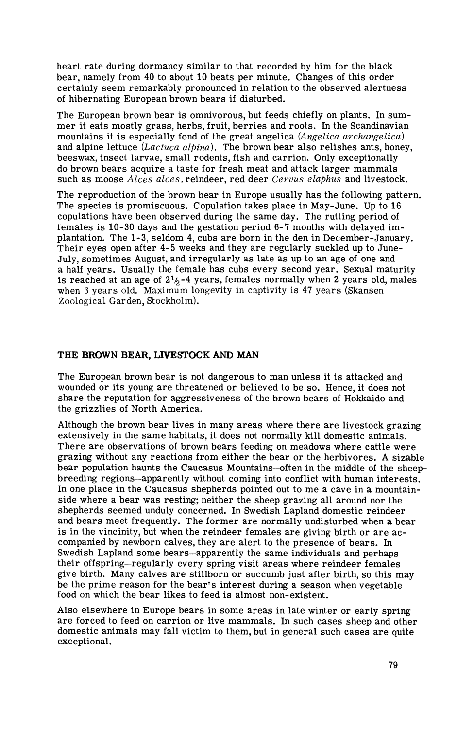heart rate during dormancy similar to that recorded by him for the black bear, namely from 40 to about 10 beats per minute. Changes of this order certainly seem remarkably pronounced in relation to the observed alertness of hibernating European brown bears if disturbed.

The European brown bear is omnivorous, but feeds chiefly on plants. In summer it eats mostly grass, herbs, fruit, berries and roots. In the Scandinavian mountains it is especially fond of the great angelica *(Angelica archangelica)*  and alpine lettuce *(Lactuca alpina).* The brown bear also relishes ants, honey, beeswax, insect larvae, small rodents, fish and carrion. Only exceptionally do brown bears acquire a taste for fresh meat and attack larger mammals such as moose *Alces alces,* reindeer, red deer *Cervus elaphus* and livestock.

The reproduction of the brown bear in Europe usually has the following pattern. The species is promiscuous. Copulation takes place in May-June. Up to 16 copulations have been observed during the same day. The rutting period of females is 10-30 days and the gestation period 6-7 months with delayed implantation. The **1-3,** seldom 4, cubs are born in the den in December-January. Their eyes open after 4-5 weeks and they are regularly suckled up to June-July, sometimes August, and irregularly as late as up to an age of one and a half years. Usually the female has cubs every second year. Sexual maturity is reached at an age of  $2<sup>1</sup>/<sub>6</sub> - 4$  years, females normally when 2 years old, males when 3 years old. Maximum longevity in captivity is 47 years (Skansen Zoological Garden, Stockholm).

#### **THE BROWN BEAR, LIVEFTOCK AND MAN**

The European brown bear is not dangerous to man unless it is attacked and wounded or its young are threatened or believed to be so. Hence, it does not share the reputation for aggressiveness of the brown bears of Hokkaido and the grizzlies of North America.

Although the brown bear lives in many areas where there are livestock grazing extensively in the same habitats, it does not normally kill domestic animals. There are observations of brown bears feeding on meadows where cattle were grazing without any reactions from either the bear or the herbivores. A sizable bear population haunts the Caucasus Mountains--often in the middle of the sheepbreeding regions-apparently without coming into conflict with human interests. In one place in the Caucasus shepherds pointed out to me a cave in a mountainside where a bear was resting; neither the sheep grazing all around nor the shepherds seemed unduly concerned. In Swedish Lapland domestic reindeer and bears meet frequently. The former are normally undisturbed when a bear is in the vincinity, but when the reindeer females are giving birth or are accompanied by newborn calves, they are alert to the presence of bears. In Swedish Lapland some bears-apparently the same individuals and perhaps their offspring-regularly every spring visit areas where reindeer females give birth. Many calves are stillborn or succumb just after birth, so this may be the prime reason for the bear's interest during a season when vegetable food on which the bear likes to feed is almost non-existent.

Also elsewhere in Europe bears in some areas in late winter or early spring are forced to feed on carrion or live mammals. In such cases sheep and other domestic animals may fall victim to them, but in general such cases are quite exceptional.